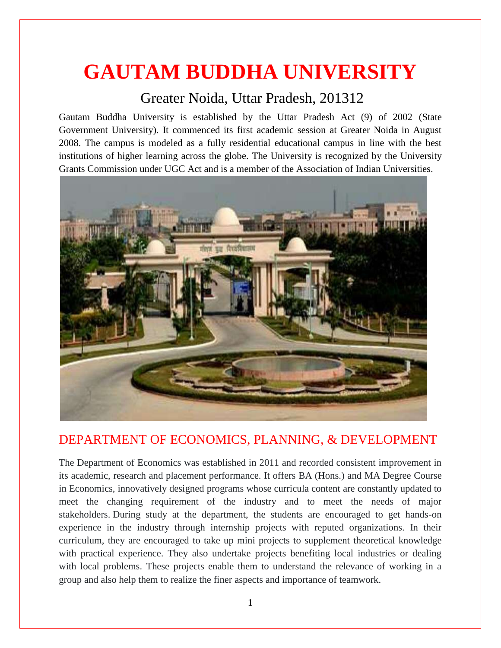# **GAUTAM BUDDHA UNIVERSITY**

# Greater Noida, Uttar Pradesh, 201312

Gautam Buddha University is established by the Uttar Pradesh Act (9) of 2002 (State Government University). It commenced its first academic session at Greater Noida in August 2008. The campus is modeled as a fully residential educational campus in line with the best institutions of higher learning across the globe. The University is recognized by the University Grants Commission under UGC Act and is a member of the Association of Indian Universities.



# DEPARTMENT OF ECONOMICS, PLANNING, & DEVELOPMENT

The Department of Economics was established in 2011 and recorded consistent improvement in its academic, research and placement performance. It offers BA (Hons.) and MA Degree Course in Economics, innovatively designed programs whose curricula content are constantly updated to meet the changing requirement of the industry and to meet the needs of major stakeholders. During study at the department, the students are encouraged to get hands-on experience in the industry through internship projects with reputed organizations. In their curriculum, they are encouraged to take up mini projects to supplement theoretical knowledge with practical experience. They also undertake projects benefiting local industries or dealing with local problems. These projects enable them to understand the relevance of working in a group and also help them to realize the finer aspects and importance of teamwork.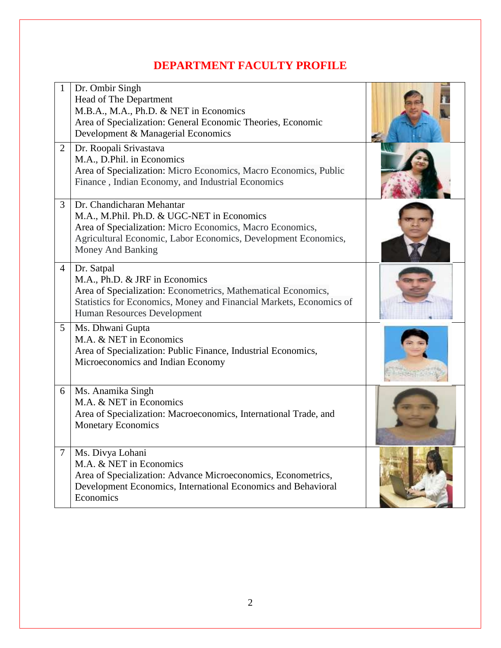# **DEPARTMENT FACULTY PROFILE**

|                | Dr. Ombir Singh<br>Head of The Department<br>M.B.A., M.A., Ph.D. & NET in Economics<br>Area of Specialization: General Economic Theories, Economic<br>Development & Managerial Economics                                    |  |
|----------------|-----------------------------------------------------------------------------------------------------------------------------------------------------------------------------------------------------------------------------|--|
| $\overline{2}$ | Dr. Roopali Srivastava<br>M.A., D.Phil. in Economics<br>Area of Specialization: Micro Economics, Macro Economics, Public<br>Finance, Indian Economy, and Industrial Economics                                               |  |
| 3              | Dr. Chandicharan Mehantar<br>M.A., M.Phil. Ph.D. & UGC-NET in Economics<br>Area of Specialization: Micro Economics, Macro Economics,<br>Agricultural Economic, Labor Economics, Development Economics,<br>Money And Banking |  |
| 4              | Dr. Satpal<br>M.A., Ph.D. & JRF in Economics<br>Area of Specialization: Econometrics, Mathematical Economics,<br>Statistics for Economics, Money and Financial Markets, Economics of<br>Human Resources Development         |  |
| 5              | Ms. Dhwani Gupta<br>M.A. & NET in Economics<br>Area of Specialization: Public Finance, Industrial Economics,<br>Microeconomics and Indian Economy                                                                           |  |
| 6              | Ms. Anamika Singh<br>M.A. & NET in Economics<br>Area of Specialization: Macroeconomics, International Trade, and<br><b>Monetary Economics</b>                                                                               |  |
| 7              | Ms. Divya Lohani<br>M.A. & NET in Economics<br>Area of Specialization: Advance Microeconomics, Econometrics,<br>Development Economics, International Economics and Behavioral<br>Economics                                  |  |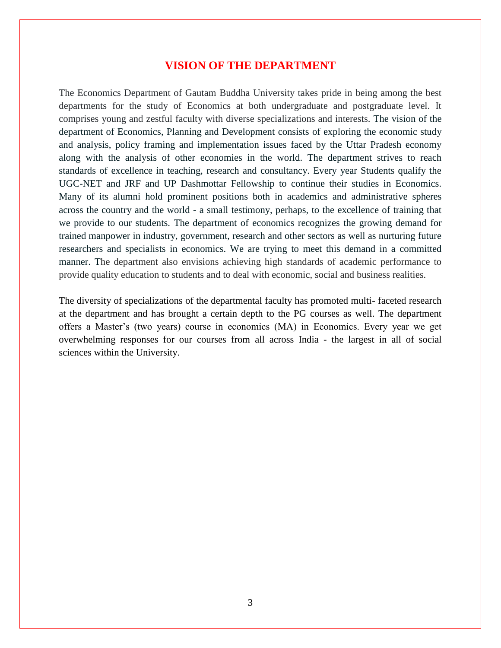#### **VISION OF THE DEPARTMENT**

The Economics Department of Gautam Buddha University takes pride in being among the best departments for the study of Economics at both undergraduate and postgraduate level. It comprises young and zestful faculty with diverse specializations and interests. The vision of the department of Economics, Planning and Development consists of exploring the economic study and analysis, policy framing and implementation issues faced by the Uttar Pradesh economy along with the analysis of other economies in the world. The department strives to reach standards of excellence in teaching, research and consultancy. Every year Students qualify the UGC-NET and JRF and UP Dashmottar Fellowship to continue their studies in Economics. Many of its alumni hold prominent positions both in academics and administrative spheres across the country and the world - a small testimony, perhaps, to the excellence of training that we provide to our students. The department of economics recognizes the growing demand for trained manpower in industry, government, research and other sectors as well as nurturing future researchers and specialists in economics. We are trying to meet this demand in a committed manner. The department also envisions achieving high standards of academic performance to provide quality education to students and to deal with economic, social and business realities.

The diversity of specializations of the departmental faculty has promoted multi- faceted research at the department and has brought a certain depth to the PG courses as well. The department offers a Master's (two years) course in economics (MA) in Economics. Every year we get overwhelming responses for our courses from all across India - the largest in all of social sciences within the University.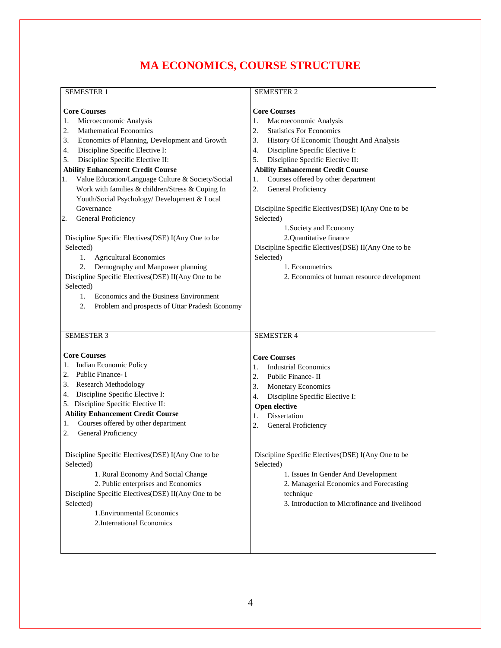# **MA ECONOMICS, COURSE STRUCTURE**

#### SEMESTER 1

| <b>Core Courses</b><br><b>Core Courses</b><br>Microeconomic Analysis<br>Macroeconomic Analysis<br>1.<br>1.<br><b>Mathematical Economics</b><br><b>Statistics For Economics</b><br>2.<br>2.<br>Economics of Planning, Development and Growth<br>History Of Economic Thought And Analysis<br>3.<br>3.<br>Discipline Specific Elective I:<br>Discipline Specific Elective I:<br>4.<br>4.<br>Discipline Specific Elective II:<br>Discipline Specific Elective II:<br>5.<br>5.<br><b>Ability Enhancement Credit Course</b><br><b>Ability Enhancement Credit Course</b><br>Value Education/Language Culture & Society/Social<br>Courses offered by other department<br>1.<br>1.<br>Work with families & children/Stress & Coping In<br>2.<br>General Proficiency<br>Youth/Social Psychology/ Development & Local<br>Governance<br>Discipline Specific Electives (DSE) I(Any One to be<br>Selected)<br>General Proficiency<br>2.<br>1. Society and Economy<br>2.Quantitative finance<br>Discipline Specific Electives (DSE) I(Any One to be<br>Selected)<br>Discipline Specific Electives(DSE) II(Any One to be<br>Selected)<br>1.<br><b>Agricultural Economics</b><br>Demography and Manpower planning<br>1. Econometrics<br>2.<br>Discipline Specific Electives(DSE) II(Any One to be<br>2. Economics of human resource development<br>Selected)<br>Economics and the Business Environment<br>1.<br>2.<br>Problem and prospects of Uttar Pradesh Economy<br><b>SEMESTER 3</b><br><b>SEMESTER 4</b><br><b>Core Courses</b><br><b>Core Courses</b><br>1. Indian Economic Policy<br><b>Industrial Economics</b><br>1.<br>Public Finance-I<br>2.<br>Public Finance-II<br>2.<br><b>Research Methodology</b><br>3.<br>3.<br>Monetary Economics<br>Discipline Specific Elective I:<br>4.<br>Discipline Specific Elective I:<br>4. |
|-----------------------------------------------------------------------------------------------------------------------------------------------------------------------------------------------------------------------------------------------------------------------------------------------------------------------------------------------------------------------------------------------------------------------------------------------------------------------------------------------------------------------------------------------------------------------------------------------------------------------------------------------------------------------------------------------------------------------------------------------------------------------------------------------------------------------------------------------------------------------------------------------------------------------------------------------------------------------------------------------------------------------------------------------------------------------------------------------------------------------------------------------------------------------------------------------------------------------------------------------------------------------------------------------------------------------------------------------------------------------------------------------------------------------------------------------------------------------------------------------------------------------------------------------------------------------------------------------------------------------------------------------------------------------------------------------------------------------------------------------------------------------------------------------------------------------|
|                                                                                                                                                                                                                                                                                                                                                                                                                                                                                                                                                                                                                                                                                                                                                                                                                                                                                                                                                                                                                                                                                                                                                                                                                                                                                                                                                                                                                                                                                                                                                                                                                                                                                                                                                                                                                       |
|                                                                                                                                                                                                                                                                                                                                                                                                                                                                                                                                                                                                                                                                                                                                                                                                                                                                                                                                                                                                                                                                                                                                                                                                                                                                                                                                                                                                                                                                                                                                                                                                                                                                                                                                                                                                                       |
|                                                                                                                                                                                                                                                                                                                                                                                                                                                                                                                                                                                                                                                                                                                                                                                                                                                                                                                                                                                                                                                                                                                                                                                                                                                                                                                                                                                                                                                                                                                                                                                                                                                                                                                                                                                                                       |
|                                                                                                                                                                                                                                                                                                                                                                                                                                                                                                                                                                                                                                                                                                                                                                                                                                                                                                                                                                                                                                                                                                                                                                                                                                                                                                                                                                                                                                                                                                                                                                                                                                                                                                                                                                                                                       |
|                                                                                                                                                                                                                                                                                                                                                                                                                                                                                                                                                                                                                                                                                                                                                                                                                                                                                                                                                                                                                                                                                                                                                                                                                                                                                                                                                                                                                                                                                                                                                                                                                                                                                                                                                                                                                       |
|                                                                                                                                                                                                                                                                                                                                                                                                                                                                                                                                                                                                                                                                                                                                                                                                                                                                                                                                                                                                                                                                                                                                                                                                                                                                                                                                                                                                                                                                                                                                                                                                                                                                                                                                                                                                                       |
|                                                                                                                                                                                                                                                                                                                                                                                                                                                                                                                                                                                                                                                                                                                                                                                                                                                                                                                                                                                                                                                                                                                                                                                                                                                                                                                                                                                                                                                                                                                                                                                                                                                                                                                                                                                                                       |
|                                                                                                                                                                                                                                                                                                                                                                                                                                                                                                                                                                                                                                                                                                                                                                                                                                                                                                                                                                                                                                                                                                                                                                                                                                                                                                                                                                                                                                                                                                                                                                                                                                                                                                                                                                                                                       |
|                                                                                                                                                                                                                                                                                                                                                                                                                                                                                                                                                                                                                                                                                                                                                                                                                                                                                                                                                                                                                                                                                                                                                                                                                                                                                                                                                                                                                                                                                                                                                                                                                                                                                                                                                                                                                       |
|                                                                                                                                                                                                                                                                                                                                                                                                                                                                                                                                                                                                                                                                                                                                                                                                                                                                                                                                                                                                                                                                                                                                                                                                                                                                                                                                                                                                                                                                                                                                                                                                                                                                                                                                                                                                                       |
|                                                                                                                                                                                                                                                                                                                                                                                                                                                                                                                                                                                                                                                                                                                                                                                                                                                                                                                                                                                                                                                                                                                                                                                                                                                                                                                                                                                                                                                                                                                                                                                                                                                                                                                                                                                                                       |
|                                                                                                                                                                                                                                                                                                                                                                                                                                                                                                                                                                                                                                                                                                                                                                                                                                                                                                                                                                                                                                                                                                                                                                                                                                                                                                                                                                                                                                                                                                                                                                                                                                                                                                                                                                                                                       |
|                                                                                                                                                                                                                                                                                                                                                                                                                                                                                                                                                                                                                                                                                                                                                                                                                                                                                                                                                                                                                                                                                                                                                                                                                                                                                                                                                                                                                                                                                                                                                                                                                                                                                                                                                                                                                       |
|                                                                                                                                                                                                                                                                                                                                                                                                                                                                                                                                                                                                                                                                                                                                                                                                                                                                                                                                                                                                                                                                                                                                                                                                                                                                                                                                                                                                                                                                                                                                                                                                                                                                                                                                                                                                                       |
|                                                                                                                                                                                                                                                                                                                                                                                                                                                                                                                                                                                                                                                                                                                                                                                                                                                                                                                                                                                                                                                                                                                                                                                                                                                                                                                                                                                                                                                                                                                                                                                                                                                                                                                                                                                                                       |
|                                                                                                                                                                                                                                                                                                                                                                                                                                                                                                                                                                                                                                                                                                                                                                                                                                                                                                                                                                                                                                                                                                                                                                                                                                                                                                                                                                                                                                                                                                                                                                                                                                                                                                                                                                                                                       |
|                                                                                                                                                                                                                                                                                                                                                                                                                                                                                                                                                                                                                                                                                                                                                                                                                                                                                                                                                                                                                                                                                                                                                                                                                                                                                                                                                                                                                                                                                                                                                                                                                                                                                                                                                                                                                       |
|                                                                                                                                                                                                                                                                                                                                                                                                                                                                                                                                                                                                                                                                                                                                                                                                                                                                                                                                                                                                                                                                                                                                                                                                                                                                                                                                                                                                                                                                                                                                                                                                                                                                                                                                                                                                                       |
|                                                                                                                                                                                                                                                                                                                                                                                                                                                                                                                                                                                                                                                                                                                                                                                                                                                                                                                                                                                                                                                                                                                                                                                                                                                                                                                                                                                                                                                                                                                                                                                                                                                                                                                                                                                                                       |
|                                                                                                                                                                                                                                                                                                                                                                                                                                                                                                                                                                                                                                                                                                                                                                                                                                                                                                                                                                                                                                                                                                                                                                                                                                                                                                                                                                                                                                                                                                                                                                                                                                                                                                                                                                                                                       |
|                                                                                                                                                                                                                                                                                                                                                                                                                                                                                                                                                                                                                                                                                                                                                                                                                                                                                                                                                                                                                                                                                                                                                                                                                                                                                                                                                                                                                                                                                                                                                                                                                                                                                                                                                                                                                       |
|                                                                                                                                                                                                                                                                                                                                                                                                                                                                                                                                                                                                                                                                                                                                                                                                                                                                                                                                                                                                                                                                                                                                                                                                                                                                                                                                                                                                                                                                                                                                                                                                                                                                                                                                                                                                                       |
|                                                                                                                                                                                                                                                                                                                                                                                                                                                                                                                                                                                                                                                                                                                                                                                                                                                                                                                                                                                                                                                                                                                                                                                                                                                                                                                                                                                                                                                                                                                                                                                                                                                                                                                                                                                                                       |
|                                                                                                                                                                                                                                                                                                                                                                                                                                                                                                                                                                                                                                                                                                                                                                                                                                                                                                                                                                                                                                                                                                                                                                                                                                                                                                                                                                                                                                                                                                                                                                                                                                                                                                                                                                                                                       |
|                                                                                                                                                                                                                                                                                                                                                                                                                                                                                                                                                                                                                                                                                                                                                                                                                                                                                                                                                                                                                                                                                                                                                                                                                                                                                                                                                                                                                                                                                                                                                                                                                                                                                                                                                                                                                       |
|                                                                                                                                                                                                                                                                                                                                                                                                                                                                                                                                                                                                                                                                                                                                                                                                                                                                                                                                                                                                                                                                                                                                                                                                                                                                                                                                                                                                                                                                                                                                                                                                                                                                                                                                                                                                                       |
|                                                                                                                                                                                                                                                                                                                                                                                                                                                                                                                                                                                                                                                                                                                                                                                                                                                                                                                                                                                                                                                                                                                                                                                                                                                                                                                                                                                                                                                                                                                                                                                                                                                                                                                                                                                                                       |
|                                                                                                                                                                                                                                                                                                                                                                                                                                                                                                                                                                                                                                                                                                                                                                                                                                                                                                                                                                                                                                                                                                                                                                                                                                                                                                                                                                                                                                                                                                                                                                                                                                                                                                                                                                                                                       |
|                                                                                                                                                                                                                                                                                                                                                                                                                                                                                                                                                                                                                                                                                                                                                                                                                                                                                                                                                                                                                                                                                                                                                                                                                                                                                                                                                                                                                                                                                                                                                                                                                                                                                                                                                                                                                       |
|                                                                                                                                                                                                                                                                                                                                                                                                                                                                                                                                                                                                                                                                                                                                                                                                                                                                                                                                                                                                                                                                                                                                                                                                                                                                                                                                                                                                                                                                                                                                                                                                                                                                                                                                                                                                                       |
|                                                                                                                                                                                                                                                                                                                                                                                                                                                                                                                                                                                                                                                                                                                                                                                                                                                                                                                                                                                                                                                                                                                                                                                                                                                                                                                                                                                                                                                                                                                                                                                                                                                                                                                                                                                                                       |
| 5. Discipline Specific Elective II:<br><b>Open elective</b>                                                                                                                                                                                                                                                                                                                                                                                                                                                                                                                                                                                                                                                                                                                                                                                                                                                                                                                                                                                                                                                                                                                                                                                                                                                                                                                                                                                                                                                                                                                                                                                                                                                                                                                                                           |
| <b>Ability Enhancement Credit Course</b><br>Dissertation<br>1.                                                                                                                                                                                                                                                                                                                                                                                                                                                                                                                                                                                                                                                                                                                                                                                                                                                                                                                                                                                                                                                                                                                                                                                                                                                                                                                                                                                                                                                                                                                                                                                                                                                                                                                                                        |
| Courses offered by other department<br>1.<br>2.<br>General Proficiency                                                                                                                                                                                                                                                                                                                                                                                                                                                                                                                                                                                                                                                                                                                                                                                                                                                                                                                                                                                                                                                                                                                                                                                                                                                                                                                                                                                                                                                                                                                                                                                                                                                                                                                                                |
| General Proficiency<br>2.                                                                                                                                                                                                                                                                                                                                                                                                                                                                                                                                                                                                                                                                                                                                                                                                                                                                                                                                                                                                                                                                                                                                                                                                                                                                                                                                                                                                                                                                                                                                                                                                                                                                                                                                                                                             |
|                                                                                                                                                                                                                                                                                                                                                                                                                                                                                                                                                                                                                                                                                                                                                                                                                                                                                                                                                                                                                                                                                                                                                                                                                                                                                                                                                                                                                                                                                                                                                                                                                                                                                                                                                                                                                       |
| Discipline Specific Electives(DSE) I(Any One to be<br>Discipline Specific Electives (DSE) I(Any One to be                                                                                                                                                                                                                                                                                                                                                                                                                                                                                                                                                                                                                                                                                                                                                                                                                                                                                                                                                                                                                                                                                                                                                                                                                                                                                                                                                                                                                                                                                                                                                                                                                                                                                                             |
| Selected)<br>Selected)                                                                                                                                                                                                                                                                                                                                                                                                                                                                                                                                                                                                                                                                                                                                                                                                                                                                                                                                                                                                                                                                                                                                                                                                                                                                                                                                                                                                                                                                                                                                                                                                                                                                                                                                                                                                |
| 1. Rural Economy And Social Change<br>1. Issues In Gender And Development                                                                                                                                                                                                                                                                                                                                                                                                                                                                                                                                                                                                                                                                                                                                                                                                                                                                                                                                                                                                                                                                                                                                                                                                                                                                                                                                                                                                                                                                                                                                                                                                                                                                                                                                             |
| 2. Public enterprises and Economics<br>2. Managerial Economics and Forecasting                                                                                                                                                                                                                                                                                                                                                                                                                                                                                                                                                                                                                                                                                                                                                                                                                                                                                                                                                                                                                                                                                                                                                                                                                                                                                                                                                                                                                                                                                                                                                                                                                                                                                                                                        |
| Discipline Specific Electives(DSE) II(Any One to be<br>technique                                                                                                                                                                                                                                                                                                                                                                                                                                                                                                                                                                                                                                                                                                                                                                                                                                                                                                                                                                                                                                                                                                                                                                                                                                                                                                                                                                                                                                                                                                                                                                                                                                                                                                                                                      |
| 3. Introduction to Microfinance and livelihood<br>Selected)                                                                                                                                                                                                                                                                                                                                                                                                                                                                                                                                                                                                                                                                                                                                                                                                                                                                                                                                                                                                                                                                                                                                                                                                                                                                                                                                                                                                                                                                                                                                                                                                                                                                                                                                                           |
| 1. Environmental Economics                                                                                                                                                                                                                                                                                                                                                                                                                                                                                                                                                                                                                                                                                                                                                                                                                                                                                                                                                                                                                                                                                                                                                                                                                                                                                                                                                                                                                                                                                                                                                                                                                                                                                                                                                                                            |
| 2. International Economics                                                                                                                                                                                                                                                                                                                                                                                                                                                                                                                                                                                                                                                                                                                                                                                                                                                                                                                                                                                                                                                                                                                                                                                                                                                                                                                                                                                                                                                                                                                                                                                                                                                                                                                                                                                            |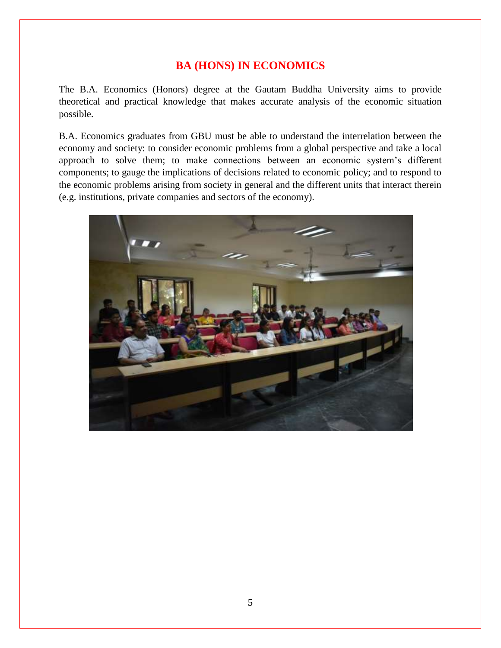#### **BA (HONS) IN ECONOMICS**

The B.A. Economics (Honors) degree at the Gautam Buddha University aims to provide theoretical and practical knowledge that makes accurate analysis of the economic situation possible.

B.A. Economics graduates from GBU must be able to understand the interrelation between the economy and society: to consider economic problems from a global perspective and take a local approach to solve them; to make connections between an economic system's different components; to gauge the implications of decisions related to economic policy; and to respond to the economic problems arising from society in general and the different units that interact therein (e.g. institutions, private companies and sectors of the economy).

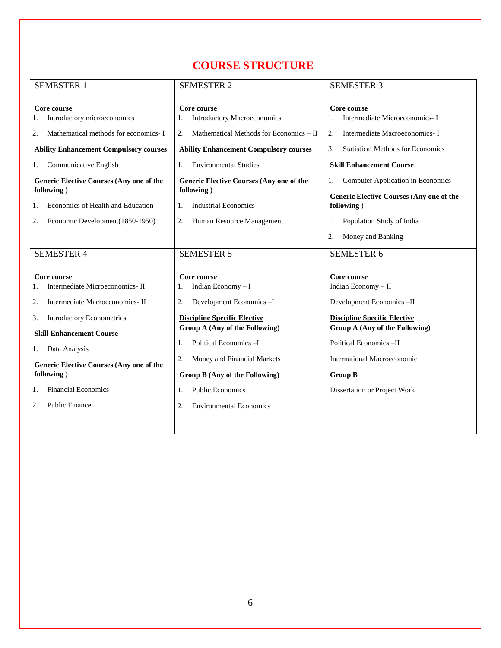# **COURSE STRUCTURE**

| <b>SEMESTER 1</b>                                                                                                                                                                                                                      | <b>SEMESTER 2</b>                                                                                                                                                                                               | <b>SEMESTER 3</b>                                                                                                                                                                                |  |
|----------------------------------------------------------------------------------------------------------------------------------------------------------------------------------------------------------------------------------------|-----------------------------------------------------------------------------------------------------------------------------------------------------------------------------------------------------------------|--------------------------------------------------------------------------------------------------------------------------------------------------------------------------------------------------|--|
| Core course<br>Introductory microeconomics<br>1.                                                                                                                                                                                       | Core course<br><b>Introductory Macroeconomics</b>                                                                                                                                                               | Core course<br>Intermediate Microeconomics- I<br>1.                                                                                                                                              |  |
| Mathematical methods for economics- I<br>2.                                                                                                                                                                                            | Mathematical Methods for Economics - II<br>2.                                                                                                                                                                   | Intermediate Macroeconomics-I<br>2.                                                                                                                                                              |  |
| <b>Ability Enhancement Compulsory courses</b>                                                                                                                                                                                          | <b>Ability Enhancement Compulsory courses</b>                                                                                                                                                                   | 3.<br><b>Statistical Methods for Economics</b>                                                                                                                                                   |  |
| Communicative English<br>1.                                                                                                                                                                                                            | <b>Environmental Studies</b><br>1.                                                                                                                                                                              | <b>Skill Enhancement Course</b>                                                                                                                                                                  |  |
| Generic Elective Courses (Any one of the                                                                                                                                                                                               | <b>Generic Elective Courses (Any one of the</b>                                                                                                                                                                 | Computer Application in Economics<br>1.                                                                                                                                                          |  |
| following)                                                                                                                                                                                                                             | following)                                                                                                                                                                                                      | <b>Generic Elective Courses (Any one of the</b>                                                                                                                                                  |  |
| Economics of Health and Education<br>1.                                                                                                                                                                                                | <b>Industrial Economics</b><br>1.                                                                                                                                                                               | following)                                                                                                                                                                                       |  |
| Economic Development(1850-1950)<br>2.                                                                                                                                                                                                  | 2.<br>Human Resource Management                                                                                                                                                                                 | Population Study of India<br>1.                                                                                                                                                                  |  |
|                                                                                                                                                                                                                                        |                                                                                                                                                                                                                 | Money and Banking<br>2.                                                                                                                                                                          |  |
| <b>SEMESTER 4</b>                                                                                                                                                                                                                      | <b>SEMESTER 5</b>                                                                                                                                                                                               | <b>SEMESTER 6</b>                                                                                                                                                                                |  |
| Core course<br>Intermediate Microeconomics- II<br>Intermediate Macroeconomics-II<br>2.<br>Introductory Econometrics<br>3.<br><b>Skill Enhancement Course</b><br>Data Analysis<br>l.<br><b>Generic Elective Courses (Any one of the</b> | Core course<br>Indian Economy - I<br>Development Economics-I<br>2.<br><b>Discipline Specific Elective</b><br>Group A (Any of the Following)<br>Political Economics-I<br>1.<br>2.<br>Money and Financial Markets | Core course<br>Indian Economy - II<br>Development Economics-II<br><b>Discipline Specific Elective</b><br>Group A (Any of the Following)<br>Political Economics-II<br>International Macroeconomic |  |
| following)                                                                                                                                                                                                                             | Group B (Any of the Following)                                                                                                                                                                                  | <b>Group B</b>                                                                                                                                                                                   |  |
| <b>Financial Economics</b><br>1.                                                                                                                                                                                                       | <b>Public Economics</b><br>1.                                                                                                                                                                                   | Dissertation or Project Work                                                                                                                                                                     |  |
| Public Finance<br>2.                                                                                                                                                                                                                   | <b>Environmental Economics</b><br>2.                                                                                                                                                                            |                                                                                                                                                                                                  |  |
|                                                                                                                                                                                                                                        |                                                                                                                                                                                                                 |                                                                                                                                                                                                  |  |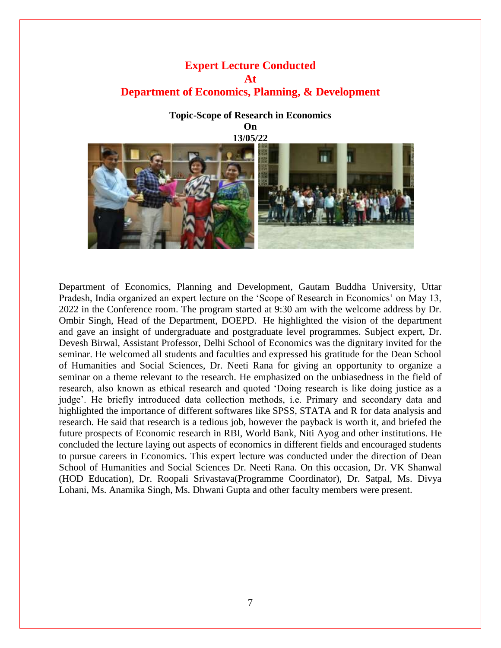#### **Expert Lecture Conducted At Department of Economics, Planning, & Development**

# **Topic-Scope of Research in Economics On 13/05/22**

Department of Economics, Planning and Development, Gautam Buddha University, Uttar Pradesh, India organized an expert lecture on the 'Scope of Research in Economics' on May 13, 2022 in the Conference room. The program started at 9:30 am with the welcome address by Dr. Ombir Singh, Head of the Department, DOEPD. He highlighted the vision of the department and gave an insight of undergraduate and postgraduate level programmes. Subject expert, Dr. Devesh Birwal, Assistant Professor, Delhi School of Economics was the dignitary invited for the seminar. He welcomed all students and faculties and expressed his gratitude for the Dean School of Humanities and Social Sciences, Dr. Neeti Rana for giving an opportunity to organize a seminar on a theme relevant to the research. He emphasized on the unbiasedness in the field of research, also known as ethical research and quoted 'Doing research is like doing justice as a judge'. He briefly introduced data collection methods, i.e. Primary and secondary data and highlighted the importance of different softwares like SPSS, STATA and R for data analysis and research. He said that research is a tedious job, however the payback is worth it, and briefed the future prospects of Economic research in RBI, World Bank, Niti Ayog and other institutions. He concluded the lecture laying out aspects of economics in different fields and encouraged students to pursue careers in Economics. This expert lecture was conducted under the direction of Dean School of Humanities and Social Sciences Dr. Neeti Rana. On this occasion, Dr. VK Shanwal (HOD Education), Dr. Roopali Srivastava(Programme Coordinator), Dr. Satpal, Ms. Divya Lohani, Ms. Anamika Singh, Ms. Dhwani Gupta and other faculty members were present.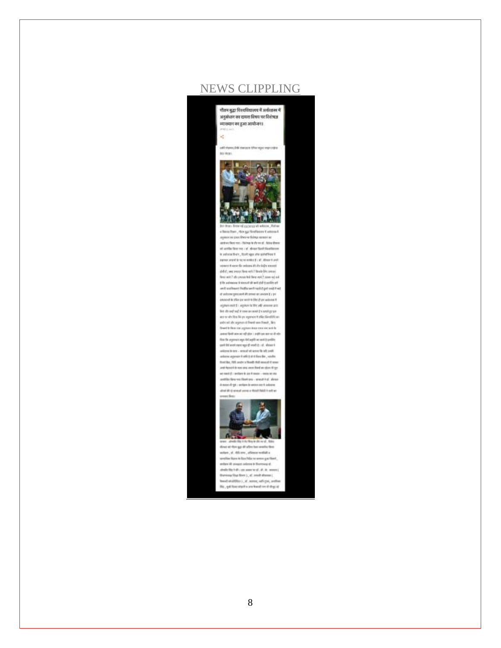

# NEWS CLIPPLING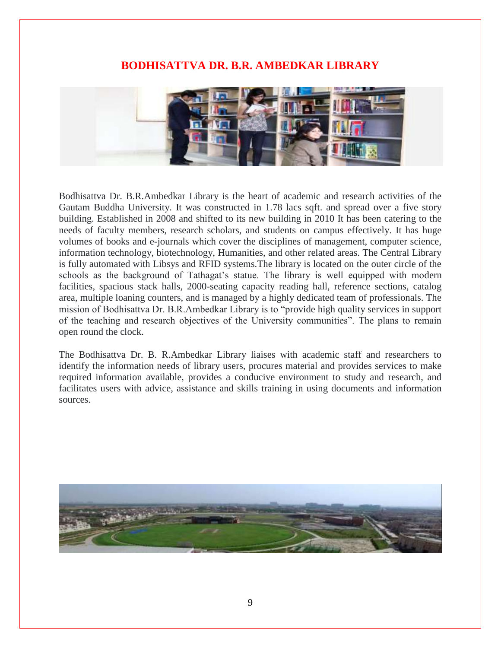#### **BODHISATTVA DR. B.R. AMBEDKAR LIBRARY**



Bodhisattva Dr. B.R.Ambedkar Library is the heart of academic and research activities of the Gautam Buddha University. It was constructed in 1.78 lacs sqft. and spread over a five story building. Established in 2008 and shifted to its new building in 2010 It has been catering to the needs of faculty members, research scholars, and students on campus effectively. It has huge volumes of books and e-journals which cover the disciplines of management, computer science, information technology, biotechnology, Humanities, and other related areas. The Central Library is fully automated with Libsys and RFID systems.The library is located on the outer circle of the schools as the background of Tathagat's statue. The library is well equipped with modern facilities, spacious stack halls, 2000-seating capacity reading hall, reference sections, catalog area, multiple loaning counters, and is managed by a highly dedicated team of professionals. The mission of Bodhisattva Dr. B.R.Ambedkar Library is to "provide high quality services in support of the teaching and research objectives of the University communities". The plans to remain open round the clock.

The Bodhisattva Dr. B. R.Ambedkar Library liaises with academic staff and researchers to identify the information needs of library users, procures material and provides services to make required information available, provides a conducive environment to study and research, and facilitates users with advice, assistance and skills training in using documents and information sources.

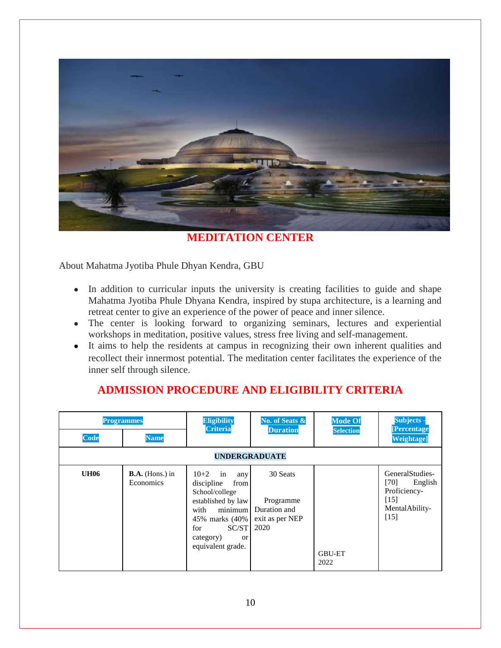

**MEDITATION CENTER**

About Mahatma Jyotiba Phule Dhyan Kendra, GBU

- In addition to curricular inputs the university is creating facilities to guide and shape Mahatma Jyotiba Phule Dhyana Kendra, inspired by stupa architecture, is a learning and retreat center to give an experience of the power of peace and inner silence.
- The center is looking forward to organizing seminars, lectures and experiential workshops in meditation, positive values, stress free living and self-management.
- It aims to help the residents at campus in recognizing their own inherent qualities and recollect their innermost potential. The meditation center facilitates the experience of the inner self through silence.

| <b>Programmes</b> |                                       | <b>Eligibility</b>                                                                                                                                                                 | No. of Seats &                                                   | <b>Mode Of</b>        | Subjects -                                                                               |  |
|-------------------|---------------------------------------|------------------------------------------------------------------------------------------------------------------------------------------------------------------------------------|------------------------------------------------------------------|-----------------------|------------------------------------------------------------------------------------------|--|
| <b>Code</b>       | <b>Name</b>                           | Criteria                                                                                                                                                                           | <b>Duration</b>                                                  | <b>Selection</b>      | <b>[Percentage</b><br><b>Weightage]</b>                                                  |  |
|                   | <b>UNDERGRADUATE</b>                  |                                                                                                                                                                                    |                                                                  |                       |                                                                                          |  |
| <b>UH06</b>       | $B.A.$ (Hons.) in<br><b>Economics</b> | $10+2$ in<br>any<br>discipline<br>from<br>School/college<br>established by law<br>with<br>minimum<br>45% marks (40%<br>SC/ST<br>for<br>category)<br><b>or</b><br>equivalent grade. | 30 Seats<br>Programme<br>Duration and<br>exit as per NEP<br>2020 | <b>GBU-ET</b><br>2022 | GeneralStudies-<br>[70]<br>English<br>Proficiency-<br>$[15]$<br>MentalAbility-<br>$[15]$ |  |

# **ADMISSION PROCEDURE AND ELIGIBILITY CRITERIA**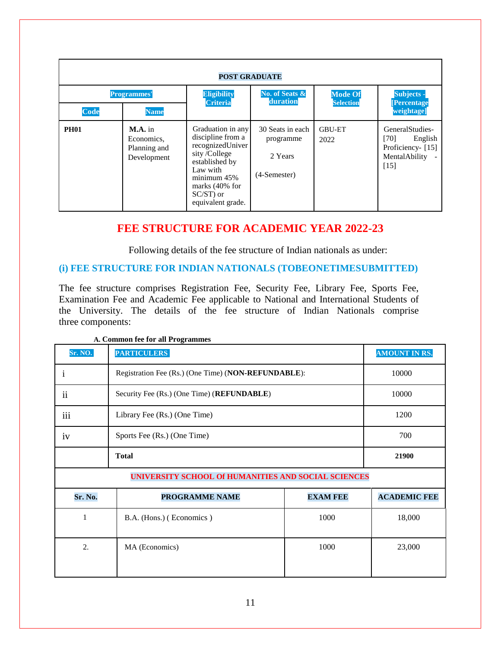| <b>POST GRADUATE</b>                             |                                                        |                                                                                                                                                                                  |                                                            |                                    |                                                                                        |
|--------------------------------------------------|--------------------------------------------------------|----------------------------------------------------------------------------------------------------------------------------------------------------------------------------------|------------------------------------------------------------|------------------------------------|----------------------------------------------------------------------------------------|
| <b>Programmes'</b><br><b>Code</b><br><b>Name</b> |                                                        | <b>Eligibility</b><br><b>Criteria</b>                                                                                                                                            | No. of Seats &<br>duration                                 | <b>Mode Of</b><br><b>Selection</b> | Subjects -<br><b>[Percentage</b><br>weightage]                                         |
| <b>PH01</b>                                      | $M.A.$ in<br>Economics,<br>Planning and<br>Development | Graduation in any<br>discipline from a<br>recognizedUniver<br>sity/College<br>established by<br>Law with<br>minimum45%<br>marks $(40\%$ for<br>$SC/ST$ ) or<br>equivalent grade. | 30 Seats in each<br>programme<br>2 Years<br>$(4-semester)$ | <b>GBU-ET</b><br>2022              | GeneralStudies-<br>$[70]$<br>English<br>Proficiency- [15]<br>MentalAbility -<br>$[15]$ |

#### **FEE STRUCTURE FOR ACADEMIC YEAR 2022-23**

Following details of the fee structure of Indian nationals as under:

#### **(i) FEE STRUCTURE FOR INDIAN NATIONALS (TOBEONETIMESUBMITTED)**

The fee structure comprises Registration Fee, Security Fee, Library Fee, Sports Fee, Examination Fee and Academic Fee applicable to National and International Students of the University. The details of the fee structure of Indian Nationals comprise three components:

| Sr. NO.                                             | <b>PARTICULERS</b>                                  |                 | <b>AMOUNT IN RS.</b> |  |  |  |
|-----------------------------------------------------|-----------------------------------------------------|-----------------|----------------------|--|--|--|
| 1                                                   | Registration Fee (Rs.) (One Time) (NON-REFUNDABLE): | 10000           |                      |  |  |  |
| $\ddot{\mathbf{i}}$                                 | Security Fee (Rs.) (One Time) (REFUNDABLE)          | 10000           |                      |  |  |  |
| iii                                                 | Library Fee (Rs.) (One Time)                        |                 | 1200                 |  |  |  |
| iv                                                  | Sports Fee (Rs.) (One Time)                         |                 | 700                  |  |  |  |
|                                                     | <b>Total</b>                                        | 21900           |                      |  |  |  |
| UNIVERSITY SCHOOL Of HUMANITIES AND SOCIAL SCIENCES |                                                     |                 |                      |  |  |  |
| Sr. No.                                             | PROGRAMME NAME                                      | <b>EXAM FEE</b> | <b>ACADEMIC FEE</b>  |  |  |  |
| 1                                                   | B.A. (Hons.) (Economics)                            | 1000            | 18,000               |  |  |  |
| 2.                                                  | MA (Economics)                                      | 1000            | 23,000               |  |  |  |

**A. Common fee for all Programmes**